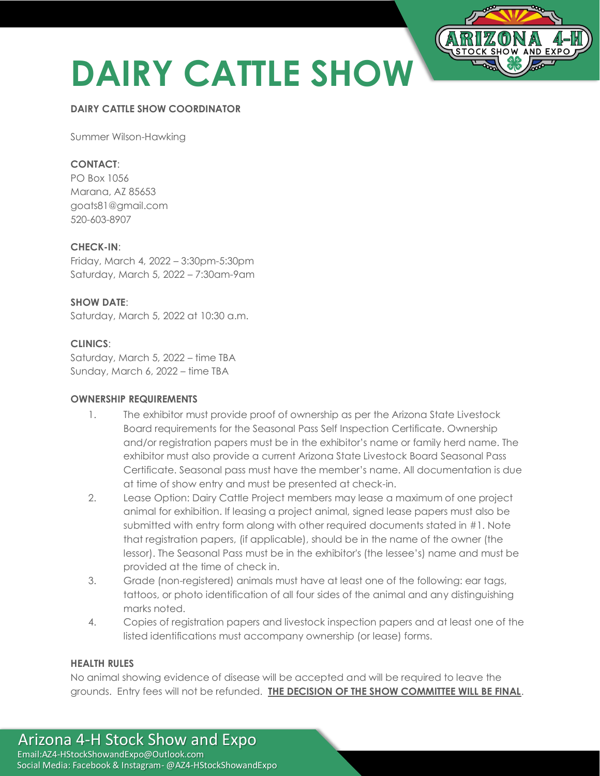# **DAIRY CATTLE SHOW**

## **DAIRY CATTLE SHOW COORDINATOR**

Summer Wilson-Hawking

## **CONTACT**:

PO Box 1056 Marana, AZ 85653 goats81@gmail.com 520-603-8907

## **CHECK-IN**:

Friday, March 4, 2022 – 3:30pm-5:30pm Saturday, March 5, 2022 – 7:30am-9am

## **SHOW DATE**:

Saturday, March 5, 2022 at 10:30 a.m.

## **CLINICS**:

Saturday, March 5, 2022 – time TBA Sunday, March 6, 2022 - time TBA

## **OWNERSHIP REQUIREMENTS**

- 1. The exhibitor must provide proof of ownership as per the Arizona State Livestock Board requirements for the Seasonal Pass Self Inspection Certificate. Ownership and/or registration papers must be in the exhibitor's name or family herd name. The exhibitor must also provide a current Arizona State Livestock Board Seasonal Pass Certificate. Seasonal pass must have the member's name. All documentation is due at time of show entry and must be presented at check-in.
- 2. Lease Option: Dairy Cattle Project members may lease a maximum of one project animal for exhibition. If leasing a project animal, signed lease papers must also be submitted with entry form along with other required documents stated in #1. Note that registration papers, (if applicable), should be in the name of the owner (the lessor). The Seasonal Pass must be in the exhibitor's (the lessee's) name and must be provided at the time of check in.
- 3. Grade (non-registered) animals must have at least one of the following: ear tags, tattoos, or photo identification of all four sides of the animal and any distinguishing marks noted.
- 4. Copies of registration papers and livestock inspection papers and at least one of the listed identifications must accompany ownership (or lease) forms.

## **HEALTH RULES**

No animal showing evidence of disease will be accepted and will be required to leave the grounds. Entry fees will not be refunded. **THE DECISION OF THE SHOW COMMITTEE WILL BE FINAL**.

## Arizona 4-H Stock Show and Expo Email:AZ4-HStockShowandExpo@Outlook.com Social Media: Facebook & Instagram- @AZ4-HStockShowandExpo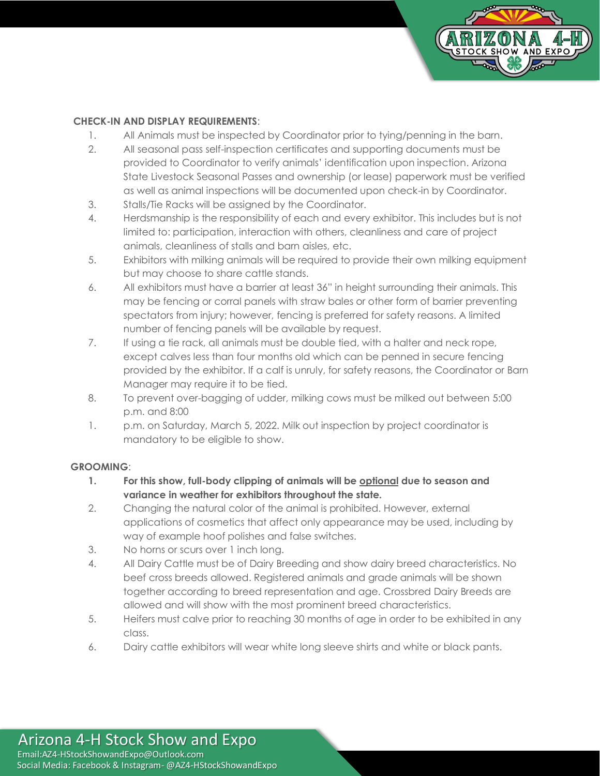

## **CHECK-IN AND DISPLAY REQUIREMENTS**:

- 1. All Animals must be inspected by Coordinator prior to tying/penning in the barn.
- 2. All seasonal pass self-inspection certificates and supporting documents must be provided to Coordinator to verify animals' identification upon inspection. Arizona State Livestock Seasonal Passes and ownership (or lease) paperwork must be verified as well as animal inspections will be documented upon check-in by Coordinator.
- 3. Stalls/Tie Racks will be assigned by the Coordinator.
- 4. Herdsmanship is the responsibility of each and every exhibitor. This includes but is not limited to: participation, interaction with others, cleanliness and care of project animals, cleanliness of stalls and barn aisles, etc.
- 5. Exhibitors with milking animals will be required to provide their own milking equipment but may choose to share cattle stands.
- 6. All exhibitors must have a barrier at least 36" in height surrounding their animals. This may be fencing or corral panels with straw bales or other form of barrier preventing spectators from injury; however, fencing is preferred for safety reasons. A limited number of fencing panels will be available by request.
- 7. If using a tie rack, all animals must be double tied, with a halter and neck rope, except calves less than four months old which can be penned in secure fencing provided by the exhibitor. If a calf is unruly, for safety reasons, the Coordinator or Barn Manager may require it to be tied.
- 8. To prevent over-bagging of udder, milking cows must be milked out between 5:00 p.m. and 8:00
- 1. p.m. on Saturday, March 5, 2022. Milk out inspection by project coordinator is mandatory to be eligible to show.

## **GROOMING**:

- **1. For this show, full-body clipping of animals will be optional due to season and variance in weather for exhibitors throughout the state.**
- 2. Changing the natural color of the animal is prohibited. However, external applications of cosmetics that affect only appearance may be used, including by way of example hoof polishes and false switches.
- 3. No horns or scurs over 1 inch long.
- 4. All Dairy Cattle must be of Dairy Breeding and show dairy breed characteristics. No beef cross breeds allowed. Registered animals and grade animals will be shown together according to breed representation and age. Crossbred Dairy Breeds are allowed and will show with the most prominent breed characteristics.
- 5. Heifers must calve prior to reaching 30 months of age in order to be exhibited in any class.
- 6. Dairy cattle exhibitors will wear white long sleeve shirts and white or black pants.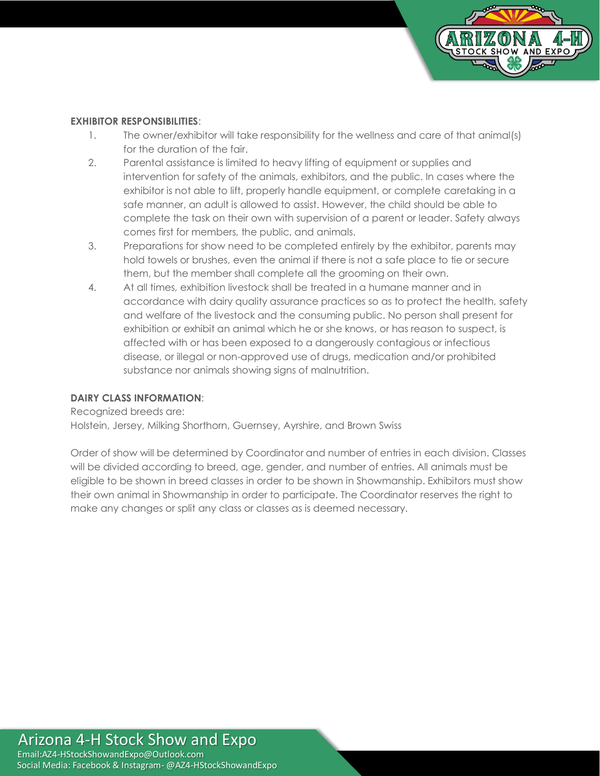

## **EXHIBITOR RESPONSIBILITIES**:

- 1. The owner/exhibitor will take responsibility for the wellness and care of that animal(s) for the duration of the fair.
- 2. Parental assistance is limited to heavy lifting of equipment or supplies and intervention for safety of the animals, exhibitors, and the public. In cases where the exhibitor is not able to lift, properly handle equipment, or complete caretaking in a safe manner, an adult is allowed to assist. However, the child should be able to complete the task on their own with supervision of a parent or leader. Safety always comes first for members, the public, and animals.
- 3. Preparations for show need to be completed entirely by the exhibitor, parents may hold towels or brushes, even the animal if there is not a safe place to tie or secure them, but the member shall complete all the grooming on their own.
- 4. At all times, exhibition livestock shall be treated in a humane manner and in accordance with dairy quality assurance practices so as to protect the health, safety and welfare of the livestock and the consuming public. No person shall present for exhibition or exhibit an animal which he or she knows, or has reason to suspect, is affected with or has been exposed to a dangerously contagious or infectious disease, or illegal or non-approved use of drugs, medication and/or prohibited substance nor animals showing signs of malnutrition.

## **DAIRY CLASS INFORMATION**:

Recognized breeds are:

Holstein, Jersey, Milking Shorthorn, Guernsey, Ayrshire, and Brown Swiss

Order of show will be determined by Coordinator and number of entries in each division. Classes will be divided according to breed, age, gender, and number of entries. All animals must be eligible to be shown in breed classes in order to be shown in Showmanship. Exhibitors must show their own animal in Showmanship in order to participate. The Coordinator reserves the right to make any changes or split any class or classes as is deemed necessary.